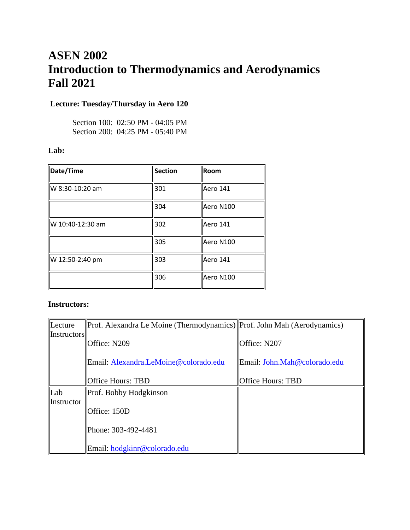# **ASEN 2002 Introduction to Thermodynamics and Aerodynamics Fall 2021**

# **Lecture: Tuesday/Thursday in Aero 120**

Section 100: 02:50 PM - 04:05 PM Section 200: 04:25 PM - 05:40 PM

# **Lab:**

| Date/Time        | <b>Section</b> | <b>Room</b>     |
|------------------|----------------|-----------------|
| W 8:30-10:20 am  | 301            | <b>Aero 141</b> |
|                  | 304            | Aero N100       |
| W 10:40-12:30 am | 302            | <b>Aero 141</b> |
|                  | 305            | Aero N100       |
| W 12:50-2:40 pm  | 303            | Aero 141        |
|                  | 306            | Aero N100       |

#### **Instructors:**

| Lecture            | Prof. Alexandra Le Moine (Thermodynamics) Prof. John Mah (Aerodynamics) |                              |
|--------------------|-------------------------------------------------------------------------|------------------------------|
| <b>Instructors</b> |                                                                         |                              |
|                    | Office: N209                                                            | Office: N207                 |
|                    |                                                                         |                              |
|                    | Email: Alexandra.LeMoine@colorado.edu                                   | Email: John.Mah@colorado.edu |
|                    |                                                                         |                              |
|                    | <b>Office Hours: TBD</b>                                                | <b>Office Hours: TBD</b>     |
| Lab                | Prof. Bobby Hodgkinson                                                  |                              |
| Instructor         |                                                                         |                              |
|                    | $IO$ ffice: 150D                                                        |                              |
|                    |                                                                         |                              |
|                    | Phone: 303-492-4481                                                     |                              |
|                    |                                                                         |                              |
|                    | Email: hodgkinr@colorado.edu                                            |                              |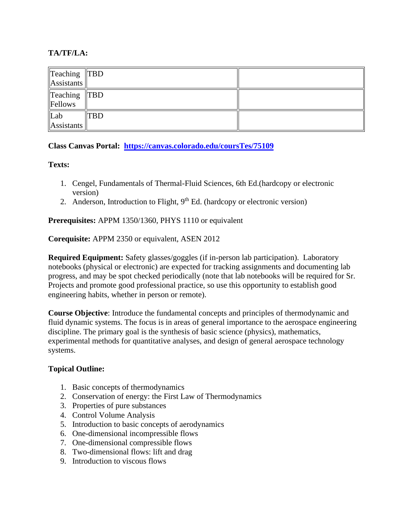# **TA/TF/LA:**

| $\left\  \text{Teaching} \right\ $ TBD<br>$\parallel$ Assistants $\parallel$ |            |  |
|------------------------------------------------------------------------------|------------|--|
| Teaching TBD<br>Fellows                                                      |            |  |
| Lab<br>$\parallel$ Assistants $\parallel$                                    | <b>THD</b> |  |

## **Class Canvas Portal: <https://canvas.colorado.edu/coursTes/75109>**

## **Texts:**

- 1. Cengel, Fundamentals of Thermal-Fluid Sciences, 6th Ed.(hardcopy or electronic version)
- 2. Anderson, Introduction to Flight,  $9<sup>th</sup>$  Ed. (hardcopy or electronic version)

**Prerequisites:** APPM 1350/1360, PHYS 1110 or equivalent

**Corequisite:** APPM 2350 or equivalent, ASEN 2012

**Required Equipment:** Safety glasses/goggles (if in-person lab participation). Laboratory notebooks (physical or electronic) are expected for tracking assignments and documenting lab progress, and may be spot checked periodically (note that lab notebooks will be required for Sr. Projects and promote good professional practice, so use this opportunity to establish good engineering habits, whether in person or remote).

**Course Objective**: Introduce the fundamental concepts and principles of thermodynamic and fluid dynamic systems. The focus is in areas of general importance to the aerospace engineering discipline. The primary goal is the synthesis of basic science (physics), mathematics, experimental methods for quantitative analyses, and design of general aerospace technology systems.

## **Topical Outline:**

- 1. Basic concepts of thermodynamics
- 2. Conservation of energy: the First Law of Thermodynamics
- 3. Properties of pure substances
- 4. Control Volume Analysis
- 5. Introduction to basic concepts of aerodynamics
- 6. One-dimensional incompressible flows
- 7. One-dimensional compressible flows
- 8. Two-dimensional flows: lift and drag
- 9. Introduction to viscous flows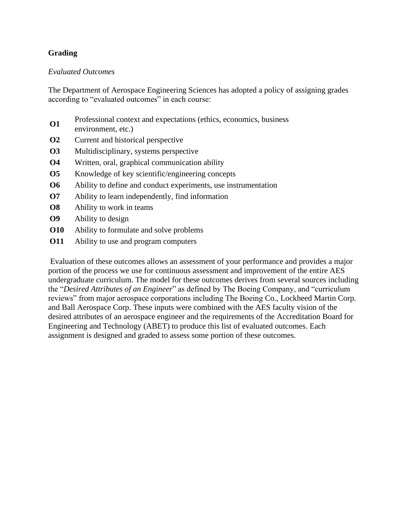# **Grading**

#### *Evaluated Outcomes*

The Department of Aerospace Engineering Sciences has adopted a policy of assigning grades according to "evaluated outcomes" in each course:

- **O1** Professional context and expectations (ethics, economics, business environment, etc.)
- **O2** Current and historical perspective
- **O3** Multidisciplinary, systems perspective
- **O4** Written, oral, graphical communication ability
- **O5** Knowledge of key scientific/engineering concepts
- **O6** Ability to define and conduct experiments, use instrumentation
- **O7** Ability to learn independently, find information
- **O8** Ability to work in teams
- **O9** Ability to design
- **O10** Ability to formulate and solve problems
- **O11** Ability to use and program computers

Evaluation of these outcomes allows an assessment of your performance and provides a major portion of the process we use for continuous assessment and improvement of the entire AES undergraduate curriculum. The model for these outcomes derives from several sources including the "*Desired Attributes of an Engineer*" as defined by The Boeing Company, and "curriculum reviews" from major aerospace corporations including The Boeing Co., Lockheed Martin Corp. and Ball Aerospace Corp. These inputs were combined with the AES faculty vision of the desired attributes of an aerospace engineer and the requirements of the Accreditation Board for Engineering and Technology (ABET) to produce this list of evaluated outcomes. Each assignment is designed and graded to assess some portion of these outcomes.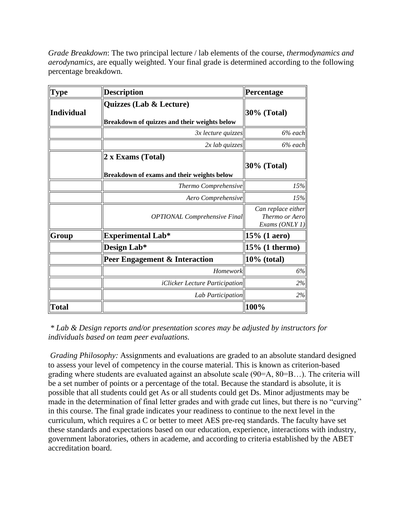*Grade Breakdown*: The two principal lecture / lab elements of the course, *thermodynamics and aerodynamics*, are equally weighted. Your final grade is determined according to the following percentage breakdown.

| <b>Type</b>       | <b>Description</b>                                                      | Percentage                                             |
|-------------------|-------------------------------------------------------------------------|--------------------------------------------------------|
| <b>Individual</b> | Quizzes (Lab & Lecture)<br>Breakdown of quizzes and their weights below | 30% (Total)                                            |
|                   | 3x lecture quizzes                                                      | 6% each                                                |
|                   | $2x$ lab quizzes                                                        | $6%$ each                                              |
|                   | 2 x Exams (Total)<br>Breakdown of exams and their weights below         | <b>30% (Total)</b>                                     |
|                   | Thermo Comprehensive                                                    | 15%                                                    |
|                   | Aero Comprehensive                                                      | 15%                                                    |
|                   | <b>OPTIONAL Comprehensive Final</b>                                     | Can replace either<br>Thermo or Aero<br>Exams (ONLY 1) |
| Group             | <b>Experimental Lab*</b>                                                | 15% (1 aero)                                           |
|                   | Design Lab*                                                             |                                                        |
|                   | Peer Engagement & Interaction                                           | $10\%$ (total)                                         |
|                   | Homework                                                                | 6%                                                     |
|                   | <i>iClicker Lecture Participation</i>                                   | 2%                                                     |
|                   | Lab Participation                                                       | 2%                                                     |
| <b>Total</b>      |                                                                         | 100%                                                   |

*\* Lab & Design reports and/or presentation scores may be adjusted by instructors for individuals based on team peer evaluations.*

*Grading Philosophy:* Assignments and evaluations are graded to an absolute standard designed to assess your level of competency in the course material. This is known as criterion-based grading where students are evaluated against an absolute scale (90=A, 80=B…). The criteria will be a set number of points or a percentage of the total. Because the standard is absolute, it is possible that all students could get As or all students could get Ds. Minor adjustments may be made in the determination of final letter grades and with grade cut lines, but there is no "curving" in this course. The final grade indicates your readiness to continue to the next level in the curriculum, which requires a C or better to meet AES pre-req standards. The faculty have set these standards and expectations based on our education, experience, interactions with industry, government laboratories, others in academe, and according to criteria established by the ABET accreditation board.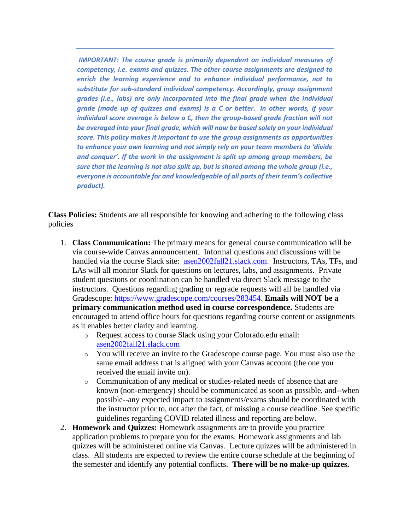*IMPORTANT: The course grade is primarily dependent on individual measures of competency, i.e. exams and quizzes. The other course assignments are designed to enrich the learning experience and to enhance individual performance, not to substitute for sub-standard individual competency. Accordingly, group assignment grades (i.e., labs) are only incorporated into the final grade when the individual grade (made up of quizzes and exams) is a C or better. In other words, if your individual score average is below a C, then the group-based grade fraction will not be averaged into your final grade, which will now be based solely on your individual score. This policy makes it important to use the group assignments as opportunities to enhance your own learning and not simply rely on your team members to 'divide and conquer'. If the work in the assignment is split up among group members, be sure that the learning is not also split up, but is shared among the whole group (i.e., everyone is accountable for and knowledgeable of all parts of their team's collective product).*

**Class Policies:** Students are all responsible for knowing and adhering to the following class policies

- 1. **Class Communication:** The primary means for general course communication will be via course-wide Canvas announcement. Informal questions and discussions will be handled via the course Slack site: [asen2002fall21.slack.com.](asen2002fall21.slack.com) Instructors, TAs, TFs, and LAs will all monitor Slack for questions on lectures, labs, and assignments. Private student questions or coordination can be handled via direct Slack message to the instructors. Questions regarding grading or regrade requests will all be handled via Gradescope: [https://www.gradescope.com/courses/283454.](https://www.gradescope.com/courses/283454) **Emails will NOT be a primary communication method used in course correspondence.** Students are encouraged to attend office hours for questions regarding course content or assignments as it enables better clarity and learning.
	- o Request access to course Slack using your Colorado.edu email: [asen2002fall21.slack.com](https://o365coloradoedu-my.sharepoint.com/personal/joma1794_colorado_edu/Documents/Course%20Materials/ASEN%202002%20(Working)/ASEN%202002%20Fall%202021%20(Shared)/Admin/asen2002fall21.slack.com)
	- o You will receive an invite to the Gradescope course page. You must also use the same email address that is aligned with your Canvas account (the one you received the email invite on).
	- o Communication of any medical or studies-related needs of absence that are known (non-emergency) should be communicated as soon as possible, and--when possible--any expected impact to assignments/exams should be coordinated with the instructor prior to, not after the fact, of missing a course deadline. See specific guidelines regarding COVID related illness and reporting are below.
- 2. **Homework and Quizzes:** Homework assignments are to provide you practice application problems to prepare you for the exams. Homework assignments and lab quizzes will be administered online via Canvas. Lecture quizzes will be administered in class. All students are expected to review the entire course schedule at the beginning of the semester and identify any potential conflicts. **There will be no make-up quizzes.**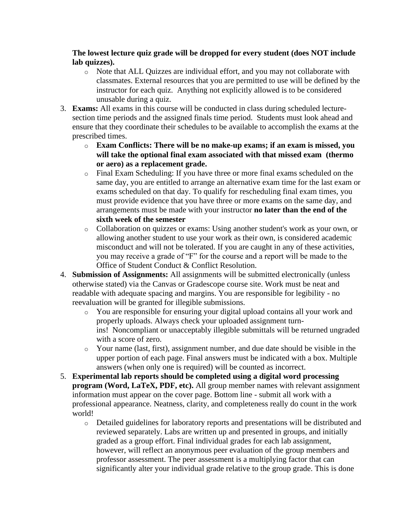### **The lowest lecture quiz grade will be dropped for every student (does NOT include lab quizzes).**

- o Note that ALL Quizzes are individual effort, and you may not collaborate with classmates. External resources that you are permitted to use will be defined by the instructor for each quiz. Anything not explicitly allowed is to be considered unusable during a quiz.
- 3. **Exams:** All exams in this course will be conducted in class during scheduled lecturesection time periods and the assigned finals time period. Students must look ahead and ensure that they coordinate their schedules to be available to accomplish the exams at the prescribed times.
	- o **Exam Conflicts: There will be no make-up exams; if an exam is missed, you will take the optional final exam associated with that missed exam (thermo or aero) as a replacement grade.**
	- o Final Exam Scheduling: If you have three or more final exams scheduled on the same day, you are entitled to arrange an alternative exam time for the last exam or exams scheduled on that day. To qualify for rescheduling final exam times, you must provide evidence that you have three or more exams on the same day, and arrangements must be made with your instructor **no later than the end of the sixth week of the semester**
	- o Collaboration on quizzes or exams: Using another student's work as your own, or allowing another student to use your work as their own, is considered academic misconduct and will not be tolerated. If you are caught in any of these activities, you may receive a grade of "F" for the course and a report will be made to the Office of Student Conduct & Conflict Resolution.
- 4. **Submission of Assignments:** All assignments will be submitted electronically (unless otherwise stated) via the Canvas or Gradescope course site. Work must be neat and readable with adequate spacing and margins. You are responsible for legibility - no reevaluation will be granted for illegible submissions.
	- o You are responsible for ensuring your digital upload contains all your work and properly uploads. Always check your uploaded assignment turnins! Noncompliant or unacceptably illegible submittals will be returned ungraded with a score of zero.
	- o Your name (last, first), assignment number, and due date should be visible in the upper portion of each page. Final answers must be indicated with a box. Multiple answers (when only one is required) will be counted as incorrect.
- 5. **Experimental lab reports should be completed using a digital word processing program (Word, LaTeX, PDF, etc).** All group member names with relevant assignment information must appear on the cover page. Bottom line - submit all work with a professional appearance. Neatness, clarity, and completeness really do count in the work world!
	- o Detailed guidelines for laboratory reports and presentations will be distributed and reviewed separately. Labs are written up and presented in groups, and initially graded as a group effort. Final individual grades for each lab assignment, however, will reflect an anonymous peer evaluation of the group members and professor assessment. The peer assessment is a multiplying factor that can significantly alter your individual grade relative to the group grade. This is done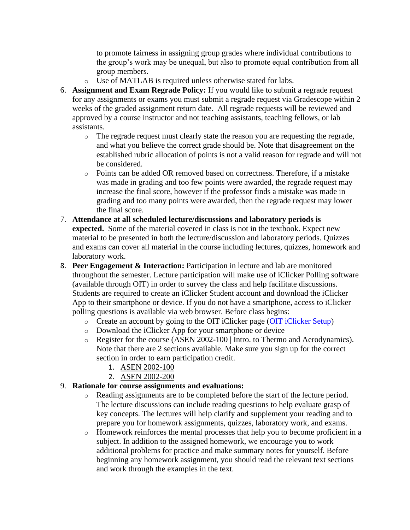to promote fairness in assigning group grades where individual contributions to the group's work may be unequal, but also to promote equal contribution from all group members.

- o Use of MATLAB is required unless otherwise stated for labs.
- 6. **Assignment and Exam Regrade Policy:** If you would like to submit a regrade request for any assignments or exams you must submit a regrade request via Gradescope within 2 weeks of the graded assignment return date. All regrade requests will be reviewed and approved by a course instructor and not teaching assistants, teaching fellows, or lab assistants.
	- o The regrade request must clearly state the reason you are requesting the regrade, and what you believe the correct grade should be. Note that disagreement on the established rubric allocation of points is not a valid reason for regrade and will not be considered.
	- o Points can be added OR removed based on correctness. Therefore, if a mistake was made in grading and too few points were awarded, the regrade request may increase the final score, however if the professor finds a mistake was made in grading and too many points were awarded, then the regrade request may lower the final score.
- 7. **Attendance at all scheduled lecture/discussions and laboratory periods is expected.** Some of the material covered in class is not in the textbook. Expect new material to be presented in both the lecture/discussion and laboratory periods. Quizzes and exams can cover all material in the course including lectures, quizzes, homework and laboratory work.
- 8. **Peer Engagement & Interaction:** Participation in lecture and lab are monitored throughout the semester. Lecture participation will make use of iClicker Polling software (available through OIT) in order to survey the class and help facilitate discussions. Students are required to create an iClicker Student account and download the iClicker App to their smartphone or device. If you do not have a smartphone, access to iClicker polling questions is available via web browser. Before class begins:
	- o Create an account by going to the OIT iClicker page [\(OIT iClicker Setup\)](https://oit.colorado.edu/tutorial/cuclickers-set-iclicker-student-account)
	- o Download the iClicker App for your smartphone or device
	- o Register for the course (ASEN 2002-100 | Intro. to Thermo and Aerodynamics). Note that there are 2 sections available. Make sure you sign up for the correct section in order to earn participation credit.
		- 1. ASEN 2002-100
		- 2. ASEN 2002-200
- 9. **Rationale for course assignments and evaluations:** 
	- o Reading assignments are to be completed before the start of the lecture period. The lecture discussions can include reading questions to help evaluate grasp of key concepts. The lectures will help clarify and supplement your reading and to prepare you for homework assignments, quizzes, laboratory work, and exams.
	- o Homework reinforces the mental processes that help you to become proficient in a subject. In addition to the assigned homework, we encourage you to work additional problems for practice and make summary notes for yourself. Before beginning any homework assignment, you should read the relevant text sections and work through the examples in the text.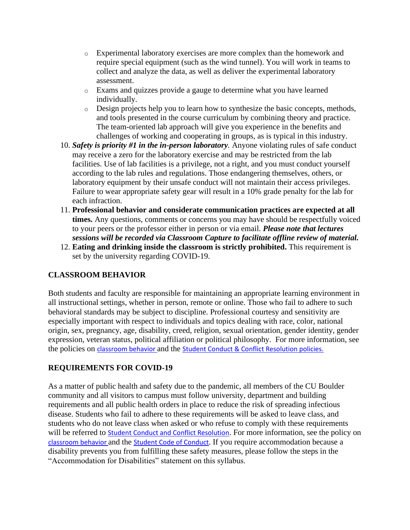- o Experimental laboratory exercises are more complex than the homework and require special equipment (such as the wind tunnel). You will work in teams to collect and analyze the data, as well as deliver the experimental laboratory assessment.
- o Exams and quizzes provide a gauge to determine what you have learned individually.
- o Design projects help you to learn how to synthesize the basic concepts, methods, and tools presented in the course curriculum by combining theory and practice. The team-oriented lab approach will give you experience in the benefits and challenges of working and cooperating in groups, as is typical in this industry.
- 10. *Safety is priority #1 in the in-person laboratory.* Anyone violating rules of safe conduct may receive a zero for the laboratory exercise and may be restricted from the lab facilities. Use of lab facilities is a privilege, not a right, and you must conduct yourself according to the lab rules and regulations. Those endangering themselves, others, or laboratory equipment by their unsafe conduct will not maintain their access privileges. Failure to wear appropriate safety gear will result in a 10% grade penalty for the lab for each infraction.
- 11. **Professional behavior and considerate communication practices are expected at all times.** Any questions, comments or concerns you may have should be respectfully voiced to your peers or the professor either in person or via email. *Please note that lectures sessions will be recorded via Classroom Capture to facilitate offline review of material.*
- 12. **Eating and drinking inside the classroom is strictly prohibited.** This requirement is set by the university regarding COVID-19.

## **CLASSROOM BEHAVIOR**

Both students and faculty are responsible for maintaining an appropriate learning environment in all instructional settings, whether in person, remote or online. Those who fail to adhere to such behavioral standards may be subject to discipline. Professional courtesy and sensitivity are especially important with respect to individuals and topics dealing with race, color, national origin, sex, pregnancy, age, disability, creed, religion, sexual orientation, gender identity, gender expression, veteran status, political affiliation or political philosophy. For more information, see the policies on [classroom behavior](http://www.colorado.edu/policies/student-classroom-and-course-related-behavior) and the Student Conduct & Conflict Resolution policies.

## **REQUIREMENTS FOR COVID-19**

As a matter of public health and safety due to the pandemic, all members of the CU Boulder community and all visitors to campus must follow university, department and building requirements and all public health orders in place to reduce the risk of spreading infectious disease. Students who fail to adhere to these requirements will be asked to leave class, and students who do not leave class when asked or who refuse to comply with these requirements will be referred to [Student Conduct and Conflict Resolution](https://www.colorado.edu/sccr/student-conduct). For more information, see the policy on [classroom behavior](http://www.colorado.edu/policies/student-classroom-and-course-related-behavior) and the [Student Code of Conduct](http://www.colorado.edu/osccr/). If you require accommodation because a disability prevents you from fulfilling these safety measures, please follow the steps in the "Accommodation for Disabilities" statement on this syllabus.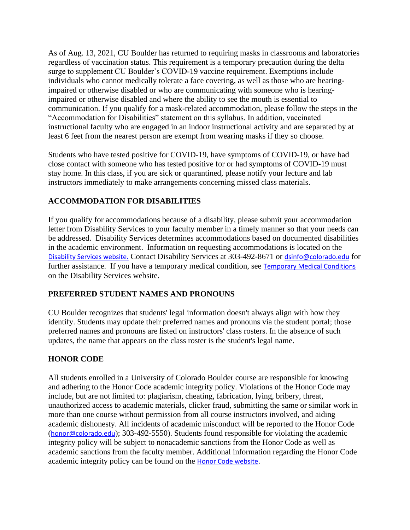As of Aug. 13, 2021, CU Boulder has returned to requiring masks in classrooms and laboratories regardless of vaccination status. This requirement is a temporary precaution during the delta surge to supplement CU Boulder's COVID-19 vaccine requirement. Exemptions include individuals who cannot medically tolerate a face covering, as well as those who are hearingimpaired or otherwise disabled or who are communicating with someone who is hearingimpaired or otherwise disabled and where the ability to see the mouth is essential to communication. If you qualify for a mask-related accommodation, please follow the steps in the "Accommodation for Disabilities" statement on this syllabus. In addition, vaccinated instructional faculty who are engaged in an indoor instructional activity and are separated by at least 6 feet from the nearest person are exempt from wearing masks if they so choose.

Students who have tested positive for COVID-19, have symptoms of COVID-19, or have had close contact with someone who has tested positive for or had symptoms of COVID-19 must stay home. In this class, if you are sick or quarantined, please notify your lecture and lab instructors immediately to make arrangements concerning missed class materials.

## **ACCOMMODATION FOR DISABILITIES**

If you qualify for accommodations because of a disability, please submit your accommodation letter from Disability Services to your faculty member in a timely manner so that your needs can be addressed. Disability Services determines accommodations based on documented disabilities in the academic environment. Information on requesting accommodations is located on the [Disability Services website.](https://www.colorado.edu/disabilityservices/) Contact Disability Services at 303-492-8671 or [dsinfo@colorado.edu](mailto:dsinfo@colorado.edu) for further assistance. If you have a temporary medical condition, see [Temporary Medical Conditions](http://www.colorado.edu/disabilityservices/students/temporary-medical-conditions) on the Disability Services website.

## **PREFERRED STUDENT NAMES AND PRONOUNS**

CU Boulder recognizes that students' legal information doesn't always align with how they identify. Students may update their preferred names and pronouns via the student portal; those preferred names and pronouns are listed on instructors' class rosters. In the absence of such updates, the name that appears on the class roster is the student's legal name.

## **HONOR CODE**

All students enrolled in a University of Colorado Boulder course are responsible for knowing and adhering to the Honor Code academic integrity policy. Violations of the Honor Code may include, but are not limited to: plagiarism, cheating, fabrication, lying, bribery, threat, unauthorized access to academic materials, clicker fraud, submitting the same or similar work in more than one course without permission from all course instructors involved, and aiding academic dishonesty. All incidents of academic misconduct will be reported to the Honor Code ([honor@colorado.edu](mailto:honor@colorado.edu)); 303-492-5550). Students found responsible for violating the academic integrity policy will be subject to nonacademic sanctions from the Honor Code as well as academic sanctions from the faculty member. Additional information regarding the Honor Code academic integrity policy can be found on the [Honor Code website](https://www.colorado.edu/osccr/honor-code).